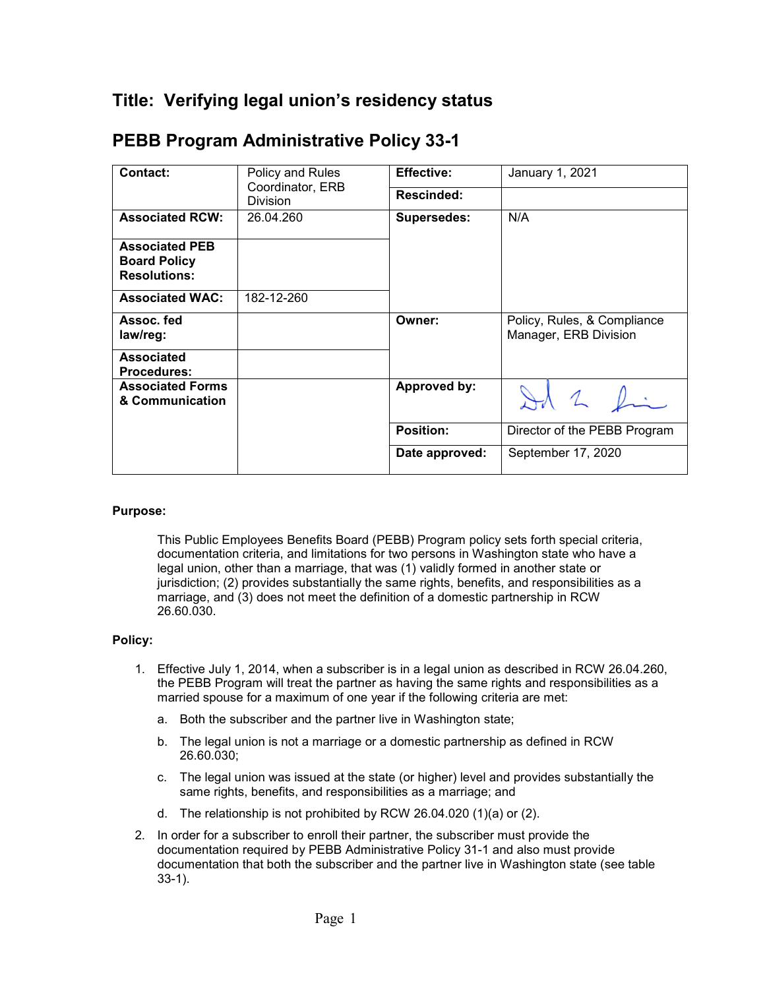## **Title: Verifying legal union's residency status**

| <b>Contact:</b>                                                     | Policy and Rules<br>Coordinator, ERB<br><b>Division</b> | <b>Effective:</b>  | January 1, 2021                                      |
|---------------------------------------------------------------------|---------------------------------------------------------|--------------------|------------------------------------------------------|
|                                                                     |                                                         | <b>Rescinded:</b>  |                                                      |
| <b>Associated RCW:</b>                                              | 26.04.260                                               | <b>Supersedes:</b> | N/A                                                  |
| <b>Associated PEB</b><br><b>Board Policy</b><br><b>Resolutions:</b> |                                                         |                    |                                                      |
| <b>Associated WAC:</b>                                              | 182-12-260                                              |                    |                                                      |
| Assoc. fed<br>law/reg:                                              |                                                         | Owner:             | Policy, Rules, & Compliance<br>Manager, ERB Division |
| <b>Associated</b><br><b>Procedures:</b>                             |                                                         |                    |                                                      |
| <b>Associated Forms</b><br>& Communication                          |                                                         | Approved by:       | $\mathcal{A}$ 2 $\mathcal{L}$ .                      |
|                                                                     |                                                         | <b>Position:</b>   | Director of the PEBB Program                         |
|                                                                     |                                                         | Date approved:     | September 17, 2020                                   |

## **PEBB Program Administrative Policy 33-1**

## **Purpose:**

This Public Employees Benefits Board (PEBB) Program policy sets forth special criteria, documentation criteria, and limitations for two persons in Washington state who have a legal union, other than a marriage, that was (1) validly formed in another state or jurisdiction; (2) provides substantially the same rights, benefits, and responsibilities as a marriage, and (3) does not meet the definition of a domestic partnership in RCW 26.60.030.

## **Policy:**

- 1. Effective July 1, 2014, when a subscriber is in a legal union as described in RCW 26.04.260, the PEBB Program will treat the partner as having the same rights and responsibilities as a married spouse for a maximum of one year if the following criteria are met:
	- a. Both the subscriber and the partner live in Washington state;
	- b. The legal union is not a marriage or a domestic partnership as defined in RCW 26.60.030;
	- c. The legal union was issued at the state (or higher) level and provides substantially the same rights, benefits, and responsibilities as a marriage; and
	- d. The relationship is not prohibited by RCW 26.04.020 (1)(a) or (2).
- 2. In order for a subscriber to enroll their partner, the subscriber must provide the documentation required by PEBB Administrative Policy 31-1 and also must provide documentation that both the subscriber and the partner live in Washington state (see table 33-1).